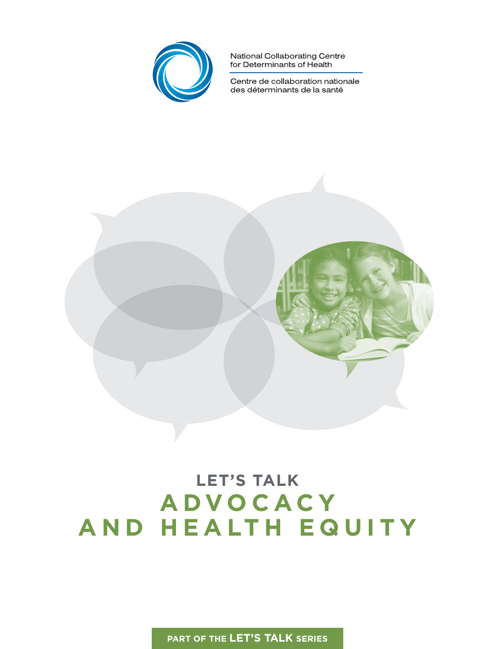

National Collaborating Centre<br>for Determinants of Health

Centre de collaboration nationale des déterminants de la santé



# **LET'S TALK** ADVOCACY AND HEALTH EQUITY

**PART OF THE LET'S TALK SERIES**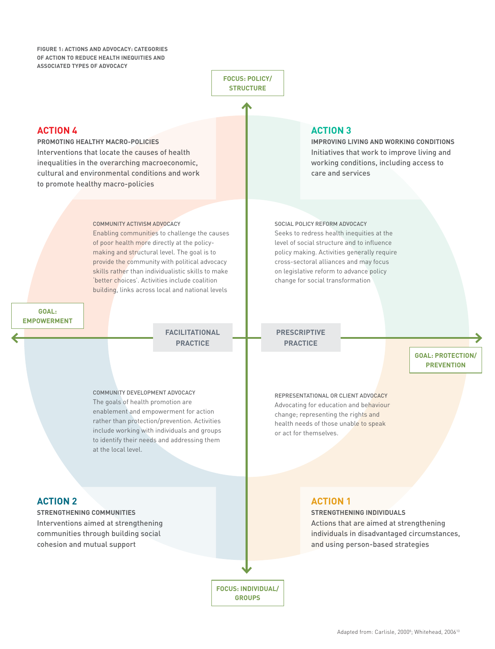**Figure 1: Actions and Advocacy: categories of action to reduce health inequities and associated types of advocacy** 

> **Focus: Policy/ structure**

#### **Action 4**

#### **Promoting healthy macro-policies**

Interventions that locate the causes of health inequalities in the overarching macroeconomic, cultural and environmental conditions and work to promote healthy macro-policies

#### Community activism advocacy

Enabling communities to challenge the causes of poor health more directly at the policymaking and structural level. The goal is to provide the community with political advocacy skills rather than individualistic skills to make 'better choices'. Activities include coalition building, links across local and national levels

#### **Goal: Empowerment**

**Facilitational practice**

Community development advocacy The goals of health promotion are enablement and empowerment for action rather than protection/prevention. Activities include working with individuals and groups to identify their needs and addressing them at the local level.

#### **Action 3**

**Improving living and working conditions** Initiatives that work to improve living and working conditions, including access to care and services

#### Social policy reform advocacy

Seeks to redress health inequities at the level of social structure and to influence policy making. Activities generally require cross-sectoral alliances and may focus on legislative reform to advance policy change for social transformation

**Prescriptive practice**

> **Goal: Protection/ prevention**

Representational or client advocacy Advocating for education and behaviour change; representing the rights and health needs of those unable to speak or act for themselves.

## **Action 2**

**Strengthening communities** Interventions aimed at strengthening communities through building social cohesion and mutual support

## **Action 1**

**Strengthening individuals** Actions that are aimed at strengthening individuals in disadvantaged circumstances, and using person-based strategies

**Focus: Individual/ groups**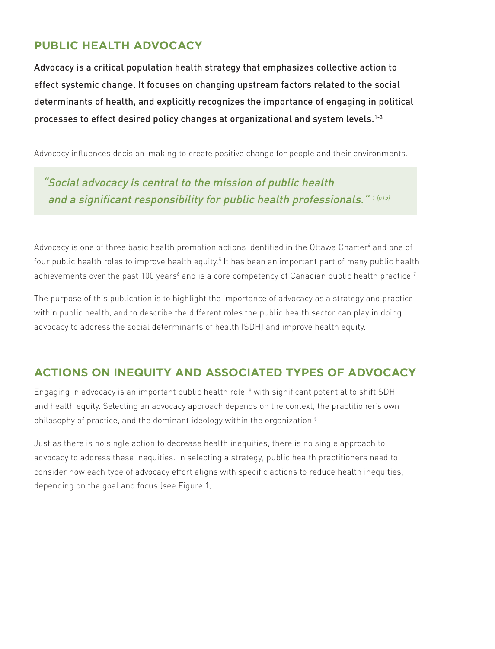# **Public health advocacy**

Advocacy is a critical population health strategy that emphasizes collective action to effect systemic change. It focuses on changing upstream factors related to the social determinants of health, and explicitly recognizes the importance of engaging in political processes to effect desired policy changes at organizational and system levels.<sup>1-3</sup>

Advocacy influences decision-making to create positive change for people and their environments.

" Social advocacy is central to the mission of public health and a significant responsibility for public health professionals."<sup>1 (p15)</sup>

Advocacy is one of three basic health promotion actions identified in the Ottawa Charter<sup>4</sup> and one of four public health roles to improve health equity.<sup>5</sup> It has been an important part of many public health achievements over the past 100 years $^{\rm 6}$  and is a core competency of Canadian public health practice. $^7$ 

The purpose of this publication is to highlight the importance of advocacy as a strategy and practice within public health, and to describe the different roles the public health sector can play in doing advocacy to address the social determinants of health (SDH) and improve health equity.

## **Actions on inequity and associated types of advocacy**

Engaging in advocacy is an important public health role<sup>1,8</sup> with significant potential to shift SDH and health equity. Selecting an advocacy approach depends on the context, the practitioner's own philosophy of practice, and the dominant ideology within the organization.<sup>9</sup>

Just as there is no single action to decrease health inequities, there is no single approach to advocacy to address these inequities. In selecting a strategy, public health practitioners need to consider how each type of advocacy effort aligns with specific actions to reduce health inequities, depending on the goal and focus (see Figure 1).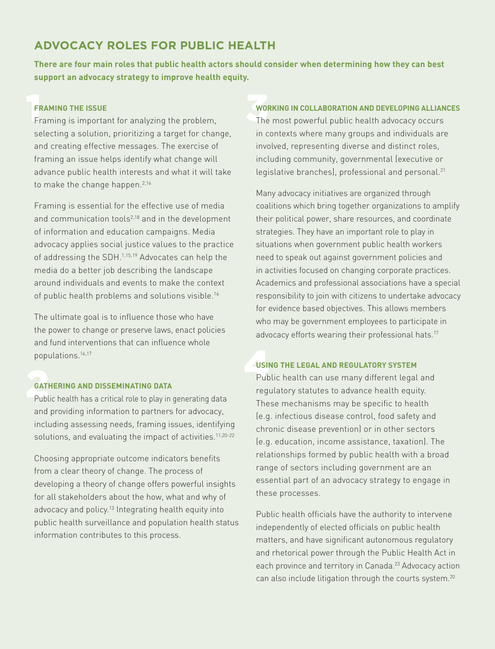# **Advocacy roles for public health**

**There are four main roles that public health actors should consider when determining how they can best support an advocacy strategy to improve health equity.** 

## **Framing the issue**

**FRAMING THE ISSUE**<br>Framing is important for analyzing the problem, selecting a solution, prioritizing a target for change, and creating effective messages. The exercise of framing an issue helps identify what change will advance public health interests and what it will take to make the change happen.<sup>2,16</sup>

Framing is essential for the effective use of media and communication tools<sup>2,18</sup> and in the development of information and education campaigns. Media advocacy applies social justice values to the practice of addressing the SDH.<sup>1,15,19</sup> Advocates can help the media do a better job describing the landscape around individuals and events to make the context of public health problems and solutions visible.16

The ultimate goal is to influence those who have the power to change or preserve laws, enact policies and fund interventions that can influence whole populations.16,17

## **Gathering and disseminating data**

**GATHERING AND DISSEMINATING DATA**<br>Public health has a critical role to play in generating data and providing information to partners for advocacy, including assessing needs, framing issues, identifying solutions, and evaluating the impact of activities.<sup>11,20-22</sup>

Choosing appropriate outcome indicators benefits from a clear theory of change. The process of developing a theory of change offers powerful insights for all stakeholders about the how, what and why of advocacy and policy.<sup>13</sup> Integrating health equity into public health surveillance and population health status information contributes to this process.

#### **Working in collaboration and developing alliances**

WORKING IN COLLABORATION AND DEVELOPING ALLIAN<br>The most powerful public health advocacy occurs in contexts where many groups and individuals are involved, representing diverse and distinct roles, including community, governmental (executive or legislative branches), professional and personal.<sup>21</sup>

Many advocacy initiatives are organized through coalitions which bring together organizations to amplify their political power, share resources, and coordinate strategies. They have an important role to play in situations when government public health workers need to speak out against government policies and in activities focused on changing corporate practices. Academics and professional associations have a special responsibility to join with citizens to undertake advocacy for evidence based objectives. This allows members who may be government employees to participate in advocacy efforts wearing their professional hats.<sup>17</sup>

## **Using the legal and regulatory system**

4 Public health can use many different legal and regulatory statutes to advance health equity. These mechanisms may be specific to health (e.g. infectious disease control, food safety and chronic disease prevention) or in other sectors (e.g. education, income assistance, taxation). The relationships formed by public health with a broad range of sectors including government are an essential part of an advocacy strategy to engage in these processes.

Public health officials have the authority to intervene independently of elected officials on public health matters, and have significant autonomous regulatory and rhetorical power through the Public Health Act in each province and territory in Canada.<sup>23</sup> Advocacy action can also include litigation through the courts system.<sup>20</sup>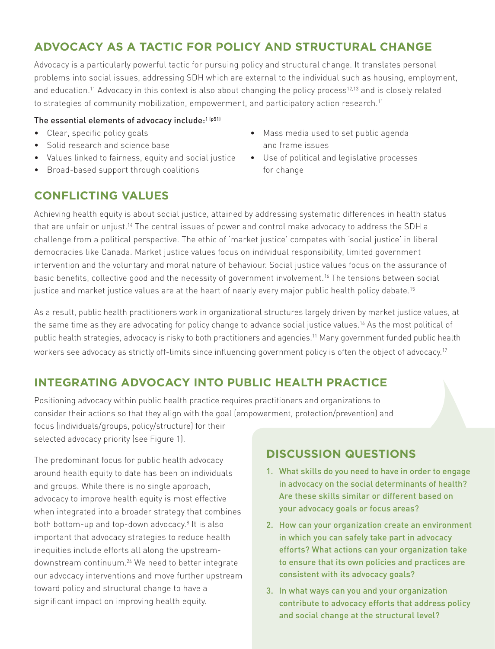# **Advocacy as a tactic for policy and structural change**

Advocacy is a particularly powerful tactic for pursuing policy and structural change. It translates personal problems into social issues, addressing SDH which are external to the individual such as housing, employment, and education.<sup>11</sup> Advocacy in this context is also about changing the policy process<sup>12,13</sup> and is closely related to strategies of community mobilization, empowerment, and participatory action research.<sup>11</sup>

#### The essential elements of advocacy include:<sup>1 (p51)</sup>

- Clear, specific policy goals
- Solid research and science base
- Values linked to fairness, equity and social justice
- Broad-based support through coalitions
- Mass media used to set public agenda and frame issues
- Use of political and legislative processes for change

## **Conflicting values**

Achieving health equity is about social justice, attained by addressing systematic differences in health status that are unfair or unjust.14 The central issues of power and control make advocacy to address the SDH a challenge from a political perspective. The ethic of 'market justice' competes with 'social justice' in liberal democracies like Canada. Market justice values focus on individual responsibility, limited government intervention and the voluntary and moral nature of behaviour. Social justice values focus on the assurance of basic benefits, collective good and the necessity of government involvement.16 The tensions between social justice and market justice values are at the heart of nearly every major public health policy debate.<sup>15</sup>

As a result, public health practitioners work in organizational structures largely driven by market justice values, at the same time as they are advocating for policy change to advance social justice values.<sup>16</sup> As the most political of public health strategies, advocacy is risky to both practitioners and agencies.11 Many government funded public health workers see advocacy as strictly off-limits since influencing government policy is often the object of advocacy.<sup>17</sup>

# **Integrating advocacy into public health practice**

Positioning advocacy within public health practice requires practitioners and organizations to consider their actions so that they align with the goal (empowerment, protection/prevention) and focus (individuals/groups, policy/structure) for their

selected advocacy priority (see Figure 1).

The predominant focus for public health advocacy around health equity to date has been on individuals and groups. While there is no single approach, advocacy to improve health equity is most effective when integrated into a broader strategy that combines both bottom-up and top-down advocacy.<sup>8</sup> It is also important that advocacy strategies to reduce health inequities include efforts all along the upstreamdownstream continuum.24 We need to better integrate our advocacy interventions and move further upstream toward policy and structural change to have a significant impact on improving health equity.

## **Discussion questions**

- 1. What skills do you need to have in order to engage in advocacy on the social determinants of health? Are these skills similar or different based on your advocacy goals or focus areas?
- 2. How can your organization create an environment in which you can safely take part in advocacy efforts? What actions can your organization take to ensure that its own policies and practices are consistent with its advocacy goals?
- 3. In what ways can you and your organization contribute to advocacy efforts that address policy and social change at the structural level?